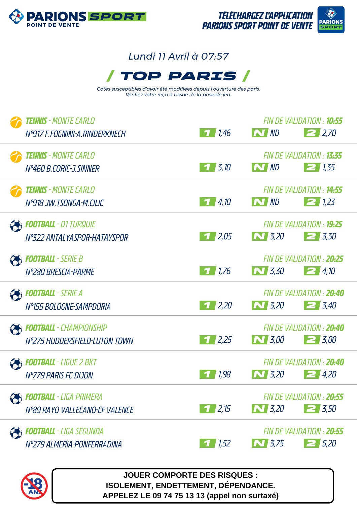



## *Lundi 11 Avril à 07:57*



*Cotes susceptibles d'avoir été modifiées depuis l'ouverture des paris. Vérifiez votre reçu à l'issue de la prise de jeu.*

|              | <b>TENNIS</b> - MONTE CARLO    |                    |              | FIN DE VALIDATION : <b>10:55</b>  |
|--------------|--------------------------------|--------------------|--------------|-----------------------------------|
|              | Nº917 F.FOGNINI-A.RINDERKNECH  | 1/1,46             | N ND         | 2,70                              |
|              | <b>TENNIS</b> - MONTE CARLO    |                    |              | FIN DE VALIDATION : 13:35         |
|              | N°460 B.CORIC-J.SINNER         | $1 \, 3.10$        | N ND         | 21,35                             |
|              | <b>TENNIS</b> - MONTE CARLO    |                    |              | <b>FIN DE VAI IDATION : 14:55</b> |
|              | N°918 JW.TSONGA-M.CILIC        | 14,10              | N ND         | 21.23                             |
| <sup>2</sup> | <b>FOOTBALL</b> - D1 TURQUIE   |                    |              | FIN DE VALIDATION : <b>19:25</b>  |
|              | Nº322 ANTALYASPOR-HATAYSPOR    | $1 \, 2.05$        | $\bf N$ 3,20 | $\geq 3.30$                       |
|              | <b>FOOTBALL</b> - SERIE B      |                    |              | FIN DE VALIDATION : 20:25         |
|              | Nº280 BRESCIA-PARME            | 1/1.76             | $\bf N$ 3,30 | 24,10                             |
|              | <b>COOTBALL</b> - SERIE A      |                    |              | FIN DE VALIDATION : 20:40         |
|              | Nº155 BOLOGNE-SAMPDORIA        | 1/2,20             | $\sum$ 3,20  | $\geq 3.40$                       |
|              | <b>FOOTBALL</b> - CHAMPIONSHIP |                    |              | FIN DE VALIDATION : 20:40         |
|              | N°275 HUDDERSFIELD-LUTON TOWN  | 1/2,25             | $\bf N$ 3,00 | $\geq 3.00$                       |
|              | <b>FOOTBALL</b> - LIGUE 2 BKT  |                    |              | FIN DE VALIDATION : 20:40         |
|              | N°779 PARIS FC-DIJON           | 1,98               | $\bf N$ 3,20 | $\geq$ 4,20                       |
|              | <b>FOOTBALL</b> - LIGA PRIMERA |                    |              | FIN DE VALIDATION : 20:55         |
|              | Nº89 RAYO VALLECANO-CF VALENCE | 1/2,15             | $\sum$ 3,20  | $\mathbf{Z}$ 3,50                 |
|              | Football - Liga Segunda        |                    |              | FIN DE VALIDATION : 20:55         |
|              | Nº279 ALMERIA-PONFERRADINA     | $\frac{1}{1}$ 1,52 | $\sum$ 3,75  | $2\,5.20$                         |
|              |                                |                    |              |                                   |



**JOUER COMPORTE DES RISQUES : ISOLEMENT, ENDETTEMENT, DÉPENDANCE. APPELEZ LE 09 74 75 13 13 (appel non surtaxé)**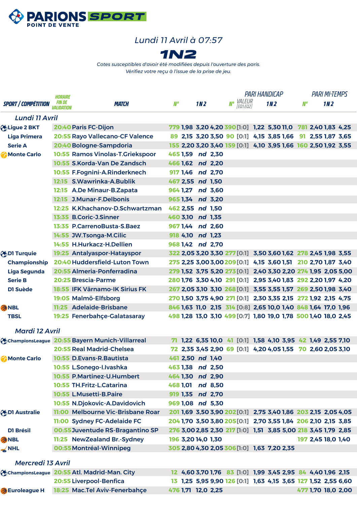

## *Lundi 11 Avril à 07:57*



*Cotes susceptibles d'avoir été modifiées depuis l'ouverture des paris. Vérifiez votre reçu à l'issue de la prise de jeu.*

|                            | <b>HORAIRE</b>                    |                                                         |                    |                 |                                             | <b>PARI HANDICAP</b> |                                                                | <b>PARI MI-TEMPS</b> |                    |                 |  |
|----------------------------|-----------------------------------|---------------------------------------------------------|--------------------|-----------------|---------------------------------------------|----------------------|----------------------------------------------------------------|----------------------|--------------------|-----------------|--|
| <b>SPORT / COMPÉTITION</b> | <i>FIN DE</i><br><i>Alidation</i> | <b>MATCH</b>                                            | N°                 | 1N <sub>2</sub> | <b>Nº</b> <i>VALEUR</i><br>[EQ1:EQ2]        |                      | 1M2                                                            | $M^o$                |                    | 1N <sub>2</sub> |  |
| Lundi 11 Avril             |                                   |                                                         |                    |                 |                                             |                      |                                                                |                      |                    |                 |  |
| Higue 2 BKT                |                                   | 20:40 Paris FC-Dijon                                    |                    |                 |                                             |                      | 779 1,98 3,20 4,20 390 [1:0] 1,22 5,30 11,0 781 2,40 1,83 4,25 |                      |                    |                 |  |
| <b>Liga Primera</b>        |                                   | 20:55 Rayo Vallecano-CF Valence                         |                    |                 |                                             |                      | 89 2,15 3,20 3,50 90 [0:1] 4,15 3,85 1,66 91 2,55 1,87 3,65    |                      |                    |                 |  |
| <b>Serie A</b>             |                                   | 20:40 Bologne-Sampdoria                                 |                    |                 |                                             |                      | 155 2,20 3,20 3,40 159 [0:1] 4,10 3,95 1,66 160 2,50 1,92 3,55 |                      |                    |                 |  |
| Monte Carlo                |                                   | 10:55 Ramos Vinolas-T.Griekspoor                        | 465 1,59 nd 2,30   |                 |                                             |                      |                                                                |                      |                    |                 |  |
|                            |                                   | 10:55 S.Korda-Van De Zandsch                            | 466 1,62 nd 2,20   |                 |                                             |                      |                                                                |                      |                    |                 |  |
|                            |                                   | 10:55 F.Fognini-A.Rinderknech                           | 917 1,46 nd 2,70   |                 |                                             |                      |                                                                |                      |                    |                 |  |
|                            |                                   | 12:15 S.Wawrinka-A.Bublik                               | 467 2,55 nd 1,50   |                 |                                             |                      |                                                                |                      |                    |                 |  |
|                            |                                   | 12:15 A.De Minaur-B.Zapata                              | 964 1,27 nd 3,60   |                 |                                             |                      |                                                                |                      |                    |                 |  |
|                            |                                   | 12:15 J.Munar-F.Delbonis                                | 965 1,34 nd 3,20   |                 |                                             |                      |                                                                |                      |                    |                 |  |
|                            |                                   | 12:25 K.Khachanov-D.Schwartzman                         | 462 2,55 nd 1,50   |                 |                                             |                      |                                                                |                      |                    |                 |  |
|                            |                                   | 13:35 B.Coric-J.Sinner                                  | 460 3,10 nd 1,35   |                 |                                             |                      |                                                                |                      |                    |                 |  |
|                            |                                   | 13:35 P.CarrenoBusta-S.Baez                             | 967 1,44 nd 2,60   |                 |                                             |                      |                                                                |                      |                    |                 |  |
|                            |                                   | 14:55 JW.Tsonga-M.Cilic                                 | 918 4,10 nd 1,23   |                 |                                             |                      |                                                                |                      |                    |                 |  |
|                            |                                   | 14:55 H.Hurkacz-H.Dellien                               | 968 1,42 nd 2,70   |                 |                                             |                      |                                                                |                      |                    |                 |  |
| <b>ODI Turquie</b>         |                                   | 19:25 Antalyaspor-Hatayspor                             |                    |                 |                                             |                      | 322 2,05 3,20 3,30 277 [0:1] 3,50 3,60 1,62 278 2,45 1,98 3,55 |                      |                    |                 |  |
| <b>Championship</b>        |                                   | 20:40 Huddersfield-Luton Town                           |                    |                 |                                             |                      | 275 2,25 3,00 3,00 209 [0:1] 4,15 3,60 1,51 210 2,70 1,87 3,40 |                      |                    |                 |  |
| <b>Liga Segunda</b>        |                                   | 20:55 Almeria-Ponferradina                              |                    |                 |                                             |                      | 279 1,52 3,75 5,20 273 [0:1] 2,40 3,30 2,20 274 1,95 2,05 5,00 |                      |                    |                 |  |
| <b>Serie B</b>             |                                   | 20:25 Brescia-Parme                                     |                    |                 |                                             |                      | 280 1,76 3,30 4,10 291 [0:1] 2,95 3,40 1,83 292 2,20 1,97 4,20 |                      |                    |                 |  |
| DI Suède                   |                                   | 18:55 IFK Värnamo-IK Sirius FK                          |                    |                 |                                             |                      | 267 2,05 3,10 3,10 268 [0:1] 3,55 3,55 1,57 269 2,50 1,98 3,40 |                      |                    |                 |  |
|                            |                                   | 19:05 Malmö-Elfsborg                                    |                    |                 |                                             |                      | 270 1,50 3,75 4,90 271 [0:1] 2,30 3,35 2,15 272 1,92 2,15 4,75 |                      |                    |                 |  |
| <b>ANBL</b>                |                                   | 11:25 Adelaide-Brisbane                                 |                    |                 |                                             |                      | 846 1,63 11,0 2,15 314 [0:8] 2,65 10,0 1,40 848 1,64 17,0 1,96 |                      |                    |                 |  |
| <b>TBSL</b>                |                                   | 19:25 Fenerbahçe-Galatasaray                            |                    |                 |                                             |                      | 498 1,28 13,0 3,10 499 [0:7] 1,80 19,0 1,78 500 1,40 18,0 2,45 |                      |                    |                 |  |
| <b>Mardi 12 Avril</b>      |                                   |                                                         |                    |                 |                                             |                      |                                                                |                      |                    |                 |  |
|                            |                                   | <b>G</b> ChampionsLeague 20:55 Bayern Munich-Villarreal |                    |                 |                                             |                      | 71 1,22 6,35 10,0 41 [0:1] 1,58 4,10 3,95 42 1,49 2,55 7,10    |                      |                    |                 |  |
|                            |                                   | 20:55 Real Madrid-Chelsea                               |                    |                 |                                             |                      | 72 2,35 3,45 2,90 69 [0:1] 4,20 4,05 1,55 70 2,60 2,05 3,10    |                      |                    |                 |  |
| Monte Carlo                |                                   | 10:55 D.Evans-R.Bautista                                | 461 2,50 nd 1,40   |                 |                                             |                      |                                                                |                      |                    |                 |  |
|                            |                                   | 10:55 L.Sonego-I.Ivashka                                | 463 1,38 nd 2,50   |                 |                                             |                      |                                                                |                      |                    |                 |  |
|                            |                                   | 10:55 P.Martinez-U.Humbert                              | 464 1,30 nd 2,90   |                 |                                             |                      |                                                                |                      |                    |                 |  |
|                            |                                   | 10:55 TH.Fritz-L.Catarina                               | 468 1.01 nd 8.50   |                 |                                             |                      |                                                                |                      |                    |                 |  |
|                            |                                   | 10:55 L.Musetti-B.Paire                                 | 919 1,35 nd 2,70   |                 |                                             |                      |                                                                |                      |                    |                 |  |
|                            |                                   | 10:55 N.Djokovic-A.Davidovich                           | 969 1.08 nd 5.30   |                 |                                             |                      |                                                                |                      |                    |                 |  |
| <b>ODI Australie</b>       |                                   | 11:00 Melbourne Vic-Brisbane Roar                       |                    |                 |                                             |                      | 201 1,69 3,50 3,90 202 [0:1] 2,75 3,40 1,86 203 2,15 2,05 4,05 |                      |                    |                 |  |
|                            |                                   | 11:00 Sydney FC-Adelaide FC                             |                    |                 |                                             |                      | 204 1,70 3,50 3,80 205 [0:1] 2,70 3,55 1,84 206 2,10 2,15 3,85 |                      |                    |                 |  |
| <b>D1 Brésil</b>           |                                   | 00:55 Juventude RS-Bragantino SP                        |                    |                 |                                             |                      | 276 3,00 2,85 2,30 217 [1:0] 1,51 3,85 5,00 218 3,45 1,79 2,85 |                      |                    |                 |  |
| 分NBL                       |                                   | 11:25 NewZealand Br.-Sydney                             | 196 3,20 14,0 1,30 |                 |                                             |                      |                                                                |                      | 197 2,45 18,0 1,40 |                 |  |
| $\leq$ NHL                 |                                   | 00:55 Montréal-Winnipeg                                 |                    |                 | 305 2,80 4,30 2,05 306 [1:0] 1,63 7,20 2,35 |                      |                                                                |                      |                    |                 |  |
| <b>Mercredi 13 Avril</b>   |                                   |                                                         |                    |                 |                                             |                      |                                                                |                      |                    |                 |  |
|                            |                                   | ChampionsLeague 20:55 Atl. Madrid-Man. City             |                    |                 |                                             |                      | 12 4,60 3,70 1,76 83 [1:0] 1,99 3,45 2,95 84 4,40 1,96 2,15    |                      |                    |                 |  |
|                            |                                   | 20:55 Liverpool-Benfica                                 |                    |                 |                                             |                      | 13 1,25 5,95 9,90 126 [0:1] 1,63 4,15 3,65 127 1,52 2,55 6,60  |                      |                    |                 |  |
| <b>B</b> Euroleague H      |                                   | 18:25 Mac.Tel Aviv-Fenerbahçe                           | 476 1,71 12,0 2,25 |                 |                                             |                      |                                                                |                      | 477 1,70 18,0 2,00 |                 |  |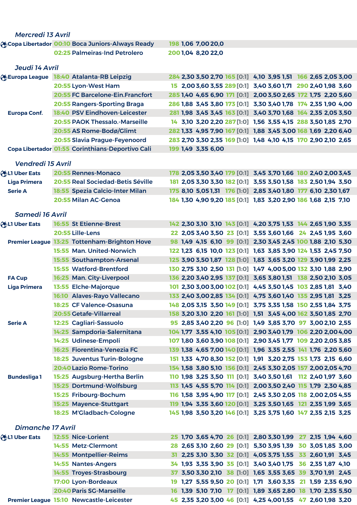| <b>Mercredi 13 Avril</b> |                                                          |                    |                                                                |  |  |  |
|--------------------------|----------------------------------------------------------|--------------------|----------------------------------------------------------------|--|--|--|
|                          | <b>A</b> Copa Libertador 00:10 Boca Juniors-Always Ready | 198 1,06 7,00 20,0 |                                                                |  |  |  |
|                          | 02:25 Palmeiras-Ind Petrolero                            | 2001,04 8,20 22,0  |                                                                |  |  |  |
| Jeudi 14 Avril           |                                                          |                    |                                                                |  |  |  |
|                          | Europa League 18:40 Atalanta-RB Leipzig                  |                    | 284 2,30 3,50 2,70 165 [0:1] 4,10 3,95 1,51 166 2,65 2,05 3,00 |  |  |  |
|                          | 20:55 Lyon-West Ham                                      |                    | 15 2,00 3,60 3,55 289 [0:1] 3,40 3,60 1,71 290 2,40 1,98 3,60  |  |  |  |
|                          | <b>20:55 FC Barcelone-Ein.Francfort</b>                  |                    | 285 1,40 4,65 6,90 171 [0:1] 2,00 3,50 2,65 172 1,75 2,20 5,60 |  |  |  |
|                          | 20:55 Rangers-Sporting Braga                             |                    | 286 1,88 3,45 3,80 173 [0:1] 3,30 3,40 1,78 174 2,35 1,90 4,00 |  |  |  |
| <b>Europa Conf.</b>      | 18:40 PSV Eindhoven-Leicester                            |                    | 281 1,98 3,45 3,45 163 [0:1] 3,40 3,70 1,68 164 2,35 2,05 3,50 |  |  |  |
|                          | <b>20:55 PAOK Thessalo.-Marseille</b>                    |                    | 14 3,10 3,20 2,20 287 [1:0] 1,56 3,55 4,15 288 3,50 1,85 2,70  |  |  |  |
|                          | 20:55 AS Rome-Bodø/Glimt                                 |                    | 282 1,33 4,95 7,90 167 [0:1] 1,88 3,45 3,00 168 1,69 2,20 6,40 |  |  |  |
|                          | 20:55 Slavia Prague-Feyenoord                            |                    | 283 2,70 3,30 2,35 169 [1:0] 1,48 4,10 4,15 170 2,90 2,10 2,65 |  |  |  |
|                          | Copa Libertador 01:55 Corinthians-Deportivo Cali         | 199 1,49 3,35 6,00 |                                                                |  |  |  |
| <b>Vendredi 15 Avril</b> |                                                          |                    |                                                                |  |  |  |
| <b>ALI Uber Eats</b>     | <b>20:55 Rennes-Monaco</b>                               |                    | 178 2,05 3,50 3,40 179 [0:1] 3,45 3,70 1,66 180 2,40 2,00 3,45 |  |  |  |
| <b>Liga Primera</b>      | 20:55 Real Sociedad-Betis Séville                        |                    | 181 2,05 3,30 3,30 182 [0:1] 3,55 3,50 1,58 183 2,50 1,94 3,50 |  |  |  |
| <b>Serie A</b>           | 18:55 Spezia Calcio-Inter Milan                          |                    | 175 8,10 5,05 1,31 176 [1:0] 2,85 3,40 1,80 177 6,10 2,30 1,67 |  |  |  |
|                          | 20:55 Milan AC-Genoa                                     |                    | 184 1,30 4,90 9,20 185 [0:1] 1,83 3,20 2,90 186 1,68 2,15 7,10 |  |  |  |
| <b>Samedi 16 Avril</b>   |                                                          |                    |                                                                |  |  |  |
| <b>A</b> LI Uber Eats    | <b>16:55 St Etienne-Brest</b>                            |                    | 142 2,30 3,10 3,10 143 [0:1] 4,20 3,75 1,53 144 2,65 1,90 3,35 |  |  |  |
|                          | 20:55 Lille-Lens                                         |                    | 22 2,05 3,40 3,50 23 [0:1] 3,55 3,60 1,66 24 2,45 1,95 3,60    |  |  |  |
|                          | Premier League 13:25 Tottenham-Brighton Hove             |                    | 98 1,49 4,15 6,10 99 [0:1] 2,30 3,45 2,45 100 1,88 2,10 5,30   |  |  |  |
|                          | 15:55 Man. United-Norwich                                |                    | 122 1,23 6,15 10,0 123 [0:1] 1,63 3,85 3,90 124 1,53 2,45 7,50 |  |  |  |
|                          | 15:55 Southampton-Arsenal                                |                    | 125 3,90 3,50 1,87 128 [1:0] 1,83 3,65 3,20 129 3,90 1,99 2,25 |  |  |  |
|                          | <b>15:55 Watford-Brentford</b>                           |                    | 130 2,75 3,10 2,50 131 [1:0] 1,47 4,00 5,00 132 3,10 1,88 2,90 |  |  |  |
| <b>FA Cup</b>            | 16:25 Man. City-Liverpool                                |                    | 136 2,20 3,40 2,95 137 [0:1] 3,65 3,80 1,51 138 2,50 2,10 3,05 |  |  |  |
| <b>Liga Primera</b>      | 13:55 Elche-Majorque                                     |                    | 101 2,30 3,00 3,00 102 [0:1] 4,45 3,50 1,45 103 2,85 1,81 3,40 |  |  |  |
|                          | 16:10 Alaves-Rayo Vallecano                              |                    | 133 2,40 3,00 2,85 134 [0:1] 4,75 3,60 1,40 135 2,95 1,81 3,25 |  |  |  |
|                          | 18:25 CF Valence-Osasuna                                 |                    | 148 2,05 3,15 3,50 149 [0:1] 3,75 3,35 1,58 150 2,55 1,84 3,75 |  |  |  |
|                          | <b>20:55 Getafe-Villarreal</b>                           |                    | 158 3,20 3,10 2,20 161 [1:0] 1,51 3,45 4,00 162 3,50 1,85 2,70 |  |  |  |
| <b>Serie A</b>           | 12:25 Cagliari-Sassuolo                                  |                    | 95 2,85 3,40 2,20 96 [1:0] 1,49 3,85 3,70 97 3,00 2,10 2,55    |  |  |  |
|                          | 14:25 Sampdoria-Salernitana                              |                    | 104 1,77 3,55 4,10 105 [0:1] 2,90 3,40 1,79 106 2,20 2,00 4,00 |  |  |  |
|                          | 14:25 Udinese-Empoli                                     |                    | 107 1,80 3,60 3,90 108 [0:1] 2,90 3,45 1,77 109 2,20 2,05 3,85 |  |  |  |
|                          | 16:25 Fiorentina-Venezia FC                              |                    | 139 1,38 4,65 7,00 140 [0:1] 1,96 3,35 2,55 141 1,76 2,20 5,60 |  |  |  |
|                          | 18:25 Juventus Turin-Bologne                             |                    | 151 1,33 4,70 8,30 152 [0:1] 1,91 3,20 2,75 153 1,73 2,15 6,60 |  |  |  |
|                          | 20:40 Lazio Rome-Torino                                  |                    | 154 1,58 3,80 5,10 156 [0:1] 2,45 3,30 2,05 157 2,00 2,05 4,70 |  |  |  |
| <b>Bundesliga1</b>       | 15:25 Augsburg-Hertha Berlin                             |                    | 110 1,98 3,25 3,50 111 [0:1] 3,40 3,50 1,61 112 2,40 1,97 3,60 |  |  |  |
|                          | 15:25 Dortmund-Wolfsburg                                 |                    | 113 1,45 4,55 5,70 114 [0:1] 2,00 3,50 2,40 115 1,79 2,30 4,85 |  |  |  |
|                          | 15:25 Fribourg-Bochum                                    |                    | 116 1,58 3,95 4,90 117 [0:1] 2,45 3,30 2,05 118 2,00 2,05 4,55 |  |  |  |
|                          | 15:25 Mayence-Stuttgart                                  |                    | 119 1,94 3,35 3,60 120 [0:1] 3,25 3,50 1,65 121 2,35 1,99 3,65 |  |  |  |
|                          | 18:25 M'Gladbach-Cologne                                 |                    | 145 1,98 3,50 3,20 146 [0:1] 3,25 3,75 1,60 147 2,35 2,15 3,25 |  |  |  |
| <b>Dimanche 17 Avril</b> |                                                          |                    |                                                                |  |  |  |
| <b>ALI Uber Eats</b>     | 12:55 Nice-Lorient                                       |                    | 25 1,70 3,65 4,70 26 [0:1] 2,80 3,30 1,99 27 2,15 1,94 4,60    |  |  |  |
|                          | 14:55 Metz-Clermont                                      |                    | 28 2,65 3,10 2,60 29 [0:1] 5,30 3,95 1,39 30 3,05 1,85 3,00    |  |  |  |
|                          | 14:55 Montpellier-Reims                                  |                    | 31 2,25 3,10 3,30 32 [0:1] 4,05 3,75 1,55 33 2,60 1,91 3,45    |  |  |  |
|                          | 14:55 Nantes-Angers                                      |                    | 34 1,93 3,35 3,90 35 [0:1] 3,40 3,40 1,75 36 2,35 1,87 4,10    |  |  |  |
|                          | 14:55 Troyes-Strasbourg                                  |                    | 37 3,50 3,30 2,10 38 [1:0] 1,65 3,55 3,65 39 3,70 1,91 2,45    |  |  |  |
|                          | 17:00 Lyon-Bordeaux                                      |                    | 19 1,27 5,55 9,50 20 [0:1] 1,71 3,60 3,35 21 1,59 2,35 6,90    |  |  |  |
|                          | 20:40 Paris SG-Marseille                                 |                    | 16 1,39 5,10 7,10 17 [0:1] 1,89 3,65 2,80 18 1,70 2,35 5,50    |  |  |  |
|                          | Premier League 15:10 Newcastle-Leicester                 |                    | 45 2,35 3,20 3,00 46 [0:1] 4,25 4,001,55 47 2,601,98 3,20      |  |  |  |